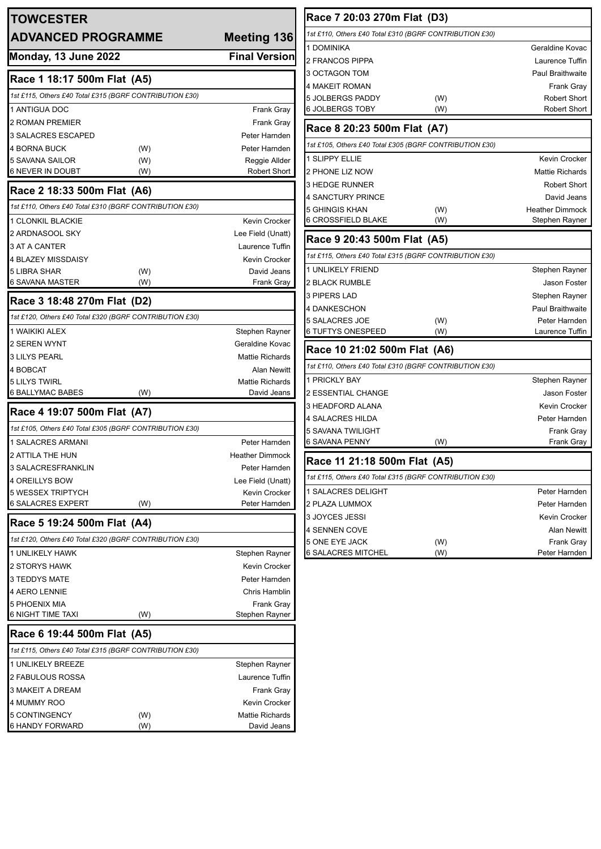| <b>TOWCESTER</b>                                        |     |                                              | Race 7 20:03 270m Flat (D3)                             |            |                                              |
|---------------------------------------------------------|-----|----------------------------------------------|---------------------------------------------------------|------------|----------------------------------------------|
| <b>ADVANCED PROGRAMME</b>                               |     | Meeting 136                                  | 1st £110, Others £40 Total £310 (BGRF CONTRIBUTION £30) |            |                                              |
| <b>Monday, 13 June 2022</b>                             |     | <b>Final Version</b>                         | 1 DOMINIKA                                              |            | Geraldine Kovac                              |
|                                                         |     |                                              | 2 FRANCOS PIPPA                                         |            | Laurence Tuffin                              |
| Race 1 18:17 500m Flat (A5)                             |     |                                              | 3 OCTAGON TOM<br>4 MAKEIT ROMAN                         |            | <b>Paul Braithwaite</b><br><b>Frank Gray</b> |
| 1st £115, Others £40 Total £315 (BGRF CONTRIBUTION £30) |     |                                              | 5 JOLBERGS PADDY                                        | (W)        | <b>Robert Short</b>                          |
| 1 ANTIGUA DOC                                           |     | <b>Frank Gray</b>                            | 6 JOLBERGS TOBY                                         | (W)        | <b>Robert Short</b>                          |
| 2 ROMAN PREMIER                                         |     | <b>Frank Gray</b>                            |                                                         |            |                                              |
| 3 SALACRES ESCAPED                                      |     | Peter Harnden                                | Race 8 20:23 500m Flat (A7)                             |            |                                              |
| 4 BORNA BUCK                                            | (W) | Peter Harnden                                | 1st £105, Others £40 Total £305 (BGRF CONTRIBUTION £30) |            |                                              |
| 5 SAVANA SAILOR                                         | (W) | Reggie Allder                                | 1 SLIPPY ELLIE                                          |            | Kevin Crocker                                |
| <b>6 NEVER IN DOUBT</b>                                 | (W) | <b>Robert Short</b>                          | 2 PHONE LIZ NOW                                         |            | <b>Mattie Richards</b>                       |
| Race 2 18:33 500m Flat (A6)                             |     |                                              | 3 HEDGE RUNNER                                          |            | <b>Robert Short</b>                          |
| 1st £110, Others £40 Total £310 (BGRF CONTRIBUTION £30) |     |                                              | 4 SANCTURY PRINCE<br><b>5 GHINGIS KHAN</b>              |            | David Jeans<br><b>Heather Dimmock</b>        |
| <b>1 CLONKIL BLACKIE</b>                                |     | Kevin Crocker                                | <b>6 CROSSFIELD BLAKE</b>                               | (W)<br>(W) | Stephen Rayner                               |
| 2 ARDNASOOL SKY                                         |     | Lee Field (Unatt)                            |                                                         |            |                                              |
| 3 AT A CANTER                                           |     | Laurence Tuffin                              | Race 9 20:43 500m Flat (A5)                             |            |                                              |
| 4 BLAZEY MISSDAISY                                      |     | <b>Kevin Crocker</b>                         | 1st £115, Others £40 Total £315 (BGRF CONTRIBUTION £30) |            |                                              |
| <b>5 LIBRA SHAR</b>                                     | (W) | David Jeans                                  | 1 UNLIKELY FRIEND                                       |            | Stephen Rayner                               |
| <b>6 SAVANA MASTER</b>                                  | (W) | Frank Gray                                   | <b>2 BLACK RUMBLE</b>                                   |            | Jason Foster                                 |
| Race 3 18:48 270m Flat (D2)                             |     |                                              | 3 PIPERS LAD                                            |            | Stephen Rayner                               |
|                                                         |     |                                              | 4 DANKESCHON                                            |            | Paul Braithwaite                             |
| 1st £120, Others £40 Total £320 (BGRF CONTRIBUTION £30) |     |                                              | 5 SALACRES JOE                                          | (W)        | Peter Harnden                                |
| 1 WAIKIKI ALEX                                          |     | Stephen Rayner                               | <b>6 TUFTYS ONESPEED</b>                                | (W)        | Laurence Tuffin                              |
| 2 SEREN WYNT                                            |     | Geraldine Kovac                              | Race 10 21:02 500m Flat (A6)                            |            |                                              |
| <b>3 LILYS PEARL</b>                                    |     | <b>Mattie Richards</b>                       | 1st £110, Others £40 Total £310 (BGRF CONTRIBUTION £30) |            |                                              |
| 4 BOBCAT<br><b>5 LILYS TWIRL</b>                        |     | <b>Alan Newitt</b><br><b>Mattie Richards</b> | 1 PRICKLY BAY                                           |            | Stephen Rayner                               |
| 6 BALLYMAC BABES                                        | (W) | David Jeans                                  | 2 ESSENTIAL CHANGE                                      |            | Jason Foster                                 |
|                                                         |     |                                              | 3 HEADFORD ALANA                                        |            | <b>Kevin Crocker</b>                         |
| Race 4 19:07 500m Flat (A7)                             |     |                                              | 4 SALACRES HILDA                                        |            | Peter Harnden                                |
| 1st £105, Others £40 Total £305 (BGRF CONTRIBUTION £30) |     |                                              | <b>5 SAVANA TWILIGHT</b>                                |            | Frank Gray                                   |
| <b>1 SALACRES ARMANI</b>                                |     | Peter Harnden                                | 6 SAVANA PENNY                                          | (W)        | Frank Gray                                   |
| 2 ATTILA THE HUN                                        |     | <b>Heather Dimmock</b>                       | Race 11 21:18 500m Flat (A5)                            |            |                                              |
| 3 SALACRESFRANKLIN                                      |     | Peter Harnden                                | 1st £115, Others £40 Total £315 (BGRF CONTRIBUTION £30) |            |                                              |
| <b>4 OREILLYS BOW</b>                                   |     | Lee Field (Unatt)                            | 1 SALACRES DELIGHT                                      |            | Peter Harnden                                |
| 5 WESSEX TRIPTYCH<br><b>6 SALACRES EXPERT</b>           | (W) | Kevin Crocker<br>Peter Harnden               | 2 PLAZA LUMMOX                                          |            | Peter Harnden                                |
|                                                         |     |                                              | 3 JOYCES JESSI                                          |            | Kevin Crocker                                |
| Race 5 19:24 500m Flat (A4)                             |     |                                              | 4 SENNEN COVE                                           |            | <b>Alan Newitt</b>                           |
| 1st £120, Others £40 Total £320 (BGRF CONTRIBUTION £30) |     |                                              | 5 ONE EYE JACK                                          | (W)        | Frank Gray                                   |
| 1 UNLIKELY HAWK                                         |     | Stephen Rayner                               | <b>6 SALACRES MITCHEL</b>                               | (W)        | Peter Harnden                                |
| 2 STORYS HAWK                                           |     | Kevin Crocker                                |                                                         |            |                                              |
| 3 TEDDYS MATE                                           |     | Peter Harnden                                |                                                         |            |                                              |
| 4 AERO LENNIE                                           |     | Chris Hamblin                                |                                                         |            |                                              |
| <b>5 PHOENIX MIA</b>                                    |     | <b>Frank Gray</b>                            |                                                         |            |                                              |
| <b>6 NIGHT TIME TAXI</b>                                | (W) | Stephen Rayner                               |                                                         |            |                                              |
| Race 6 19:44 500m Flat (A5)                             |     |                                              |                                                         |            |                                              |
| 1st £115, Others £40 Total £315 (BGRF CONTRIBUTION £30) |     |                                              |                                                         |            |                                              |
| 1 UNLIKELY BREEZE                                       |     | Stephen Rayner                               |                                                         |            |                                              |
| 2 FABULOUS ROSSA                                        |     | Laurence Tuffin                              |                                                         |            |                                              |
| 3 MAKEIT A DREAM                                        |     | <b>Frank Gray</b>                            |                                                         |            |                                              |
| 4 MUMMY ROO                                             |     | Kevin Crocker                                |                                                         |            |                                              |
| 5 CONTINGENCY                                           | (W) | Mattie Richards                              |                                                         |            |                                              |
| <b>6 HANDY FORWARD</b>                                  | (W) | David Jeans                                  |                                                         |            |                                              |

| Race 7 20:03 270m Flat (D3)                             |     |                          |  |  |  |
|---------------------------------------------------------|-----|--------------------------|--|--|--|
| 1st £110, Others £40 Total £310 (BGRF CONTRIBUTION £30) |     |                          |  |  |  |
| 1 DOMINIKA                                              |     | Geraldine Kovac          |  |  |  |
| 2 FRANCOS PIPPA                                         |     | Laurence Tuffin          |  |  |  |
| 3 OCTAGON TOM                                           |     | <b>Paul Braithwaite</b>  |  |  |  |
| 4 MAKEIT ROMAN                                          |     | Frank Gray               |  |  |  |
| 5 JOLBERGS PADDY                                        | (W) | <b>Robert Short</b>      |  |  |  |
| 6 JOLBERGS TOBY                                         | (W) | <b>Robert Short</b>      |  |  |  |
| Race 8 20:23 500m Flat (A7)                             |     |                          |  |  |  |
| 1st £105, Others £40 Total £305 (BGRF CONTRIBUTION £30) |     |                          |  |  |  |
| <b>1 SLIPPY ELLIE</b>                                   |     | <b>Kevin Crocker</b>     |  |  |  |
| 2 PHONE LIZ NOW                                         |     | <b>Mattie Richards</b>   |  |  |  |
| 3 HEDGE RUNNER                                          |     | <b>Robert Short</b>      |  |  |  |
| <b>4 SANCTURY PRINCE</b>                                |     | David Jeans              |  |  |  |
| 5 GHINGIS KHAN                                          | (W) | <b>Heather Dimmock</b>   |  |  |  |
| <b>6 CROSSFIELD BLAKE</b>                               | (W) | Stephen Rayner           |  |  |  |
| Race 9 20:43 500m Flat (A5)                             |     |                          |  |  |  |
| 1st £115, Others £40 Total £315 (BGRF CONTRIBUTION £30) |     |                          |  |  |  |
| <b>1 UNLIKELY FRIEND</b>                                |     | Stephen Rayner           |  |  |  |
| <b>2 BLACK RUMBLE</b>                                   |     | <b>Jason Foster</b>      |  |  |  |
| <b>3 PIPERS LAD</b>                                     |     | Stephen Rayner           |  |  |  |
| 4 DANKESCHON                                            |     | Paul Braithwaite         |  |  |  |
| 5 SALACRES JOE                                          | (W) | Peter Harnden            |  |  |  |
| 6 TUFTYS ONESPEED                                       | (W) | Laurence Tuffin          |  |  |  |
| Race 10 21:02 500m Flat (A6)                            |     |                          |  |  |  |
| 1st £110, Others £40 Total £310 (BGRF CONTRIBUTION £30) |     |                          |  |  |  |
| 1 PRICKLY BAY                                           |     | Stephen Rayner           |  |  |  |
| <b>2 ESSENTIAL CHANGE</b>                               |     | Jason Foster             |  |  |  |
| 3 HEADFORD ALANA                                        |     | <b>Kevin Crocker</b>     |  |  |  |
| 4 SALACRES HILDA                                        |     | Peter Harnden            |  |  |  |
| 5 SAVANA TWILIGHT<br><b>6 SAVANA PENNY</b>              | (W) | Frank Gray<br>Frank Gray |  |  |  |
|                                                         |     |                          |  |  |  |
| Race 11 21:18 500m Flat (A5)                            |     |                          |  |  |  |
| 1st £115, Others £40 Total £315 (BGRF CONTRIBUTION £30) |     |                          |  |  |  |
| 1 SALACRES DELIGHT                                      |     | Peter Harnden            |  |  |  |
| 2 PLAZA LUMMOX                                          |     | Peter Harnden            |  |  |  |
| 3 JOYCES JESSI                                          |     | Kevin Crocker            |  |  |  |
| 4 SENNEN COVE                                           |     | Alan Newitt              |  |  |  |
| 5 ONE EYE JACK                                          | (W) | Frank Gray               |  |  |  |